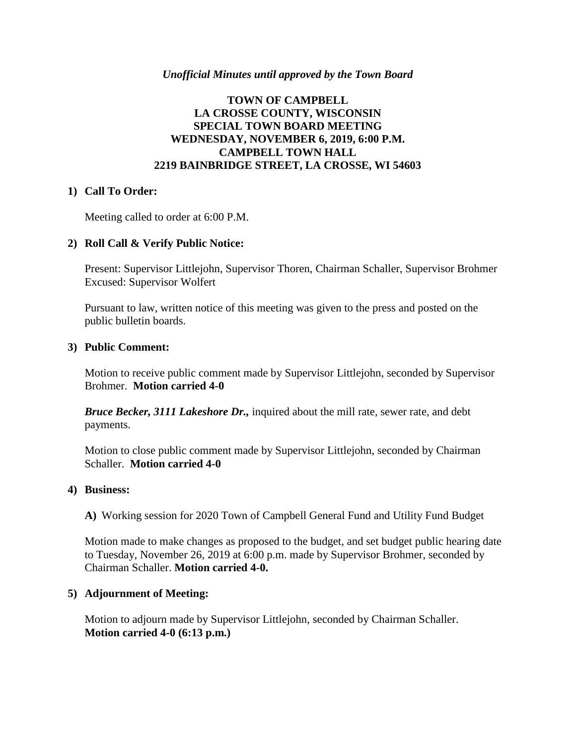### *Unofficial Minutes until approved by the Town Board*

# **TOWN OF CAMPBELL LA CROSSE COUNTY, WISCONSIN SPECIAL TOWN BOARD MEETING WEDNESDAY, NOVEMBER 6, 2019, 6:00 P.M. CAMPBELL TOWN HALL 2219 BAINBRIDGE STREET, LA CROSSE, WI 54603**

## **1) Call To Order:**

Meeting called to order at 6:00 P.M.

## **2) Roll Call & Verify Public Notice:**

Present: Supervisor Littlejohn, Supervisor Thoren, Chairman Schaller, Supervisor Brohmer Excused: Supervisor Wolfert

Pursuant to law, written notice of this meeting was given to the press and posted on the public bulletin boards.

### **3) Public Comment:**

Motion to receive public comment made by Supervisor Littlejohn, seconded by Supervisor Brohmer. **Motion carried 4-0**

*Bruce Becker, 3111 Lakeshore Dr.,* inquired about the mill rate, sewer rate, and debt payments.

Motion to close public comment made by Supervisor Littlejohn, seconded by Chairman Schaller. **Motion carried 4-0**

### **4) Business:**

**A)** Working session for 2020 Town of Campbell General Fund and Utility Fund Budget

Motion made to make changes as proposed to the budget, and set budget public hearing date to Tuesday, November 26, 2019 at 6:00 p.m. made by Supervisor Brohmer, seconded by Chairman Schaller. **Motion carried 4-0.**

### **5) Adjournment of Meeting:**

Motion to adjourn made by Supervisor Littlejohn, seconded by Chairman Schaller. **Motion carried 4-0 (6:13 p.m.)**